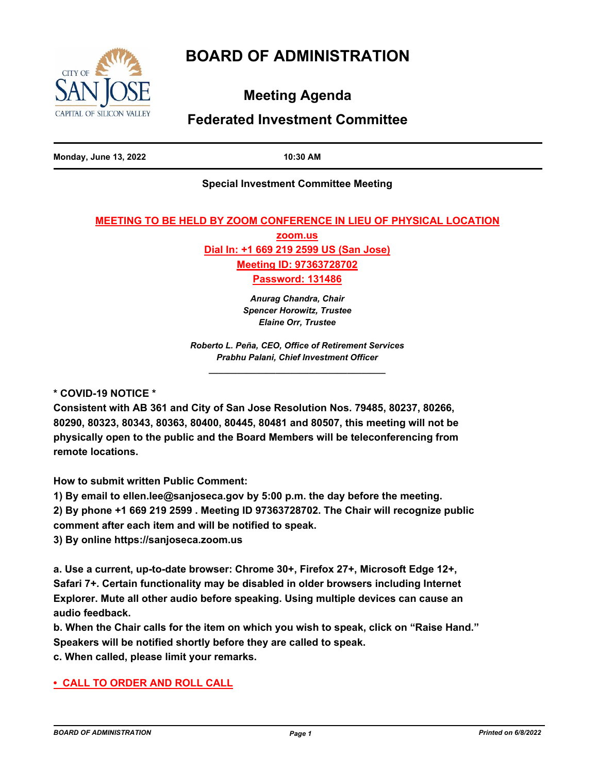# **BOARD OF ADMINISTRATION**



**Meeting Agenda**

## **Federated Investment Committee**

**Monday, June 13, 2022 10:30 AM**

## **Special Investment Committee Meeting**

## **MEETING TO BE HELD BY ZOOM CONFERENCE IN LIEU OF PHYSICAL LOCATION**

**zoom.us Dial In: +1 669 219 2599 US (San Jose) Meeting ID: 97363728702**

**Password: 131486**

*Anurag Chandra, Chair Spencer Horowitz, Trustee Elaine Orr, Trustee* 

*Roberto L. Peña, CEO, Office of Retirement Services Prabhu Palani, Chief Investment Officer \_\_\_\_\_\_\_\_\_\_\_\_\_\_\_\_\_\_\_\_\_\_\_\_\_\_\_\_\_\_\_\_\_\_\_\_\_*

**\* COVID-19 NOTICE \***

**Consistent with AB 361 and City of San Jose Resolution Nos. 79485, 80237, 80266, 80290, 80323, 80343, 80363, 80400, 80445, 80481 and 80507, this meeting will not be physically open to the public and the Board Members will be teleconferencing from remote locations.**

**How to submit written Public Comment:**

**1) By email to ellen.lee@sanjoseca.gov by 5:00 p.m. the day before the meeting.**

**2) By phone +1 669 219 2599 . Meeting ID 97363728702. The Chair will recognize public comment after each item and will be notified to speak.**

**3) By online https://sanjoseca.zoom.us**

**a. Use a current, up-to-date browser: Chrome 30+, Firefox 27+, Microsoft Edge 12+, Safari 7+. Certain functionality may be disabled in older browsers including Internet Explorer. Mute all other audio before speaking. Using multiple devices can cause an audio feedback.**

**b. When the Chair calls for the item on which you wish to speak, click on "Raise Hand." Speakers will be notified shortly before they are called to speak.**

**c. When called, please limit your remarks.**

## **• CALL TO ORDER AND ROLL CALL**